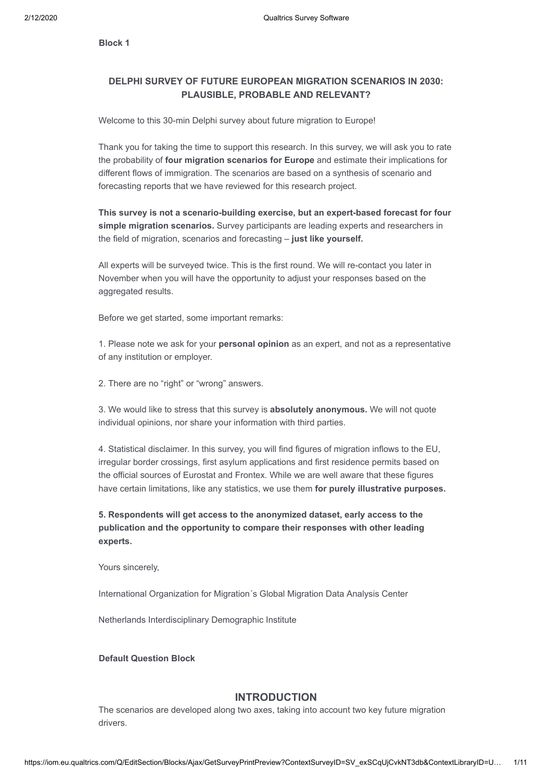**Block 1**

## **DELPHI SURVEY OF FUTURE EUROPEAN MIGRATION SCENARIOS IN 2030: PLAUSIBLE, PROBABLE AND RELEVANT?**

Welcome to this 30-min Delphi survey about future migration to Europe!

Thank you for taking the time to support this research. In this survey, we will ask you to rate the probability of **four migration scenarios for Europe** and estimate their implications for different flows of immigration. The scenarios are based on a synthesis of scenario and forecasting reports that we have reviewed for this research project.

**This survey is not a scenario-building exercise, but an expert-based forecast for four simple migration scenarios.** Survey participants are leading experts and researchers in the field of migration, scenarios and forecasting – **just like yourself.**

All experts will be surveyed twice. This is the first round. We will re-contact you later in November when you will have the opportunity to adjust your responses based on the aggregated results.

Before we get started, some important remarks:

1. Please note we ask for your **personal opinion** as an expert, and not as a representative of any institution or employer.

2. There are no "right" or "wrong" answers.

3. We would like to stress that this survey is **absolutely anonymous.** We will not quote individual opinions, nor share your information with third parties.

4. Statistical disclaimer. In this survey, you will find figures of migration inflows to the EU, irregular border crossings, first asylum applications and first residence permits based on the official sources of Eurostat and Frontex. While we are well aware that these figures have certain limitations, like any statistics, we use them **for purely illustrative purposes.**

**5. Respondents will get access to the anonymized dataset, early access to the publication and the opportunity to compare their responses with other leading experts.**

Yours sincerely,

International Organization for Migration´s Global Migration Data Analysis Center

Netherlands Interdisciplinary Demographic Institute

**Default Question Block**

### **INTRODUCTION**

The scenarios are developed along two axes, taking into account two key future migration drivers.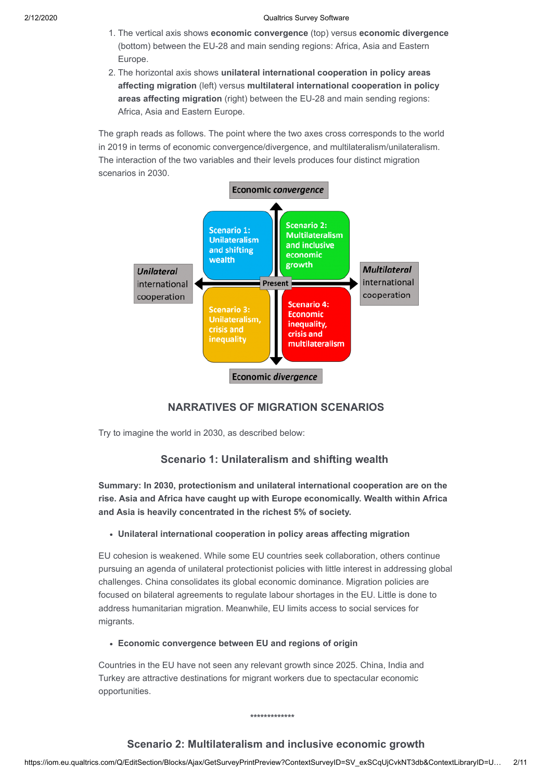- 1. The vertical axis shows **economic convergence** (top) versus **economic divergence** (bottom) between the EU-28 and main sending regions: Africa, Asia and Eastern Europe.
- 2. The horizontal axis shows **unilateral international cooperation in policy areas affecting migration** (left) versus **multilateral international cooperation in policy areas affecting migration** (right) between the EU-28 and main sending regions: Africa, Asia and Eastern Europe.

The graph reads as follows. The point where the two axes cross corresponds to the world in 2019 in terms of economic convergence/divergence, and multilateralism/unilateralism. The interaction of the two variables and their levels produces four distinct migration scenarios in 2030.



## **NARRATIVES OF MIGRATION SCENARIOS**

Try to imagine the world in 2030, as described below:

## **Scenario 1: Unilateralism and shifting wealth**

**Summary: In 2030, protectionism and unilateral international cooperation are on the rise. Asia and Africa have caught up with Europe economically. Wealth within Africa and Asia is heavily concentrated in the richest 5% of society.**

### **Unilateral international cooperation in policy areas affecting migration**

EU cohesion is weakened. While some EU countries seek collaboration, others continue pursuing an agenda of unilateral protectionist policies with little interest in addressing global challenges. China consolidates its global economic dominance. Migration policies are focused on bilateral agreements to regulate labour shortages in the EU. Little is done to address humanitarian migration. Meanwhile, EU limits access to social services for migrants.

### **Economic convergence between EU and regions of origin**

Countries in the EU have not seen any relevant growth since 2025. China, India and Turkey are attractive destinations for migrant workers due to spectacular economic opportunities.

**\*\*\*\*\*\*\*\*\*\*\*\*\***

## **Scenario 2: Multilateralism and inclusive economic growth**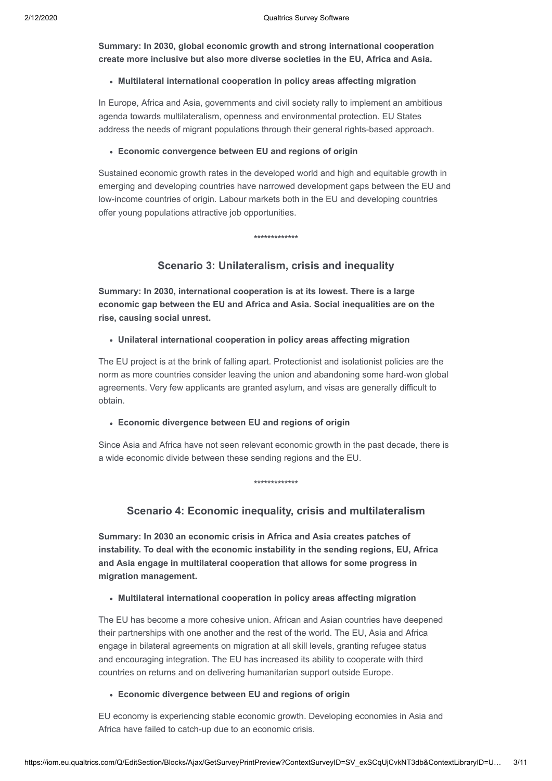**Summary: In 2030, global economic growth and strong international cooperation create more inclusive but also more diverse societies in the EU, Africa and Asia.**

#### **Multilateral international cooperation in policy areas affecting migration**

In Europe, Africa and Asia, governments and civil society rally to implement an ambitious agenda towards multilateralism, openness and environmental protection. EU States address the needs of migrant populations through their general rights-based approach.

### **Economic convergence between EU and regions of origin**

Sustained economic growth rates in the developed world and high and equitable growth in emerging and developing countries have narrowed development gaps between the EU and low-income countries of origin. Labour markets both in the EU and developing countries offer young populations attractive job opportunities.

#### **\*\*\*\*\*\*\*\*\*\*\*\*\***

### **Scenario 3: Unilateralism, crisis and inequality**

**Summary: In 2030, international cooperation is at its lowest. There is a large economic gap between the EU and Africa and Asia. Social inequalities are on the rise, causing social unrest.** 

#### **Unilateral international cooperation in policy areas affecting migration**

The EU project is at the brink of falling apart. Protectionist and isolationist policies are the norm as more countries consider leaving the union and abandoning some hard-won global agreements. Very few applicants are granted asylum, and visas are generally difficult to obtain.

#### **Economic divergence between EU and regions of origin**

Since Asia and Africa have not seen relevant economic growth in the past decade, there is a wide economic divide between these sending regions and the EU.

**\*\*\*\*\*\*\*\*\*\*\*\*\***

### **Scenario 4: Economic inequality, crisis and multilateralism**

**Summary: In 2030 an economic crisis in Africa and Asia creates patches of instability. To deal with the economic instability in the sending regions, EU, Africa and Asia engage in multilateral cooperation that allows for some progress in migration management.**

### **Multilateral international cooperation in policy areas affecting migration**

The EU has become a more cohesive union. African and Asian countries have deepened their partnerships with one another and the rest of the world. The EU, Asia and Africa engage in bilateral agreements on migration at all skill levels, granting refugee status and encouraging integration. The EU has increased its ability to cooperate with third countries on returns and on delivering humanitarian support outside Europe.

#### **Economic divergence between EU and regions of origin**

EU economy is experiencing stable economic growth. Developing economies in Asia and Africa have failed to catch-up due to an economic crisis.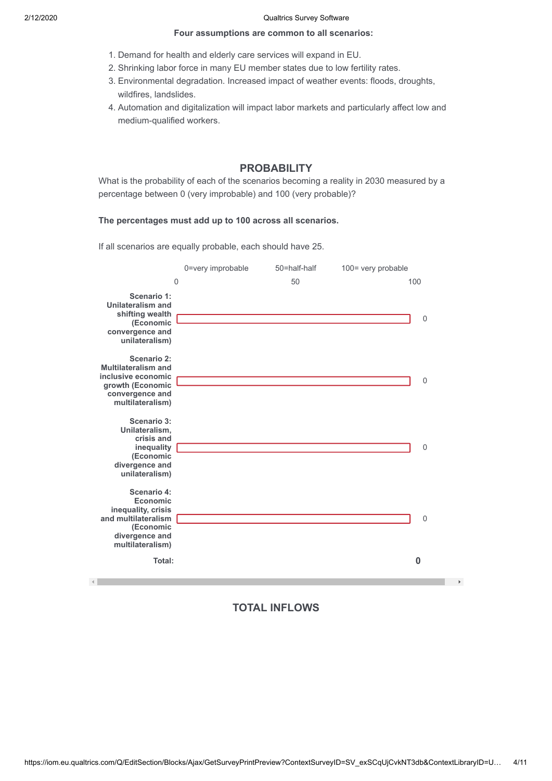#### **Four assumptions are common to all scenarios:**

- 1. Demand for health and elderly care services will expand in EU.
- 2. Shrinking labor force in many EU member states due to low fertility rates.
- 3. Environmental degradation. Increased impact of weather events: floods, droughts, wildfires, landslides.
- 4. Automation and digitalization will impact labor markets and particularly affect low and medium-qualified workers.

## **PROBABILITY**

What is the probability of each of the scenarios becoming a reality in 2030 measured by a percentage between 0 (very improbable) and 100 (very probable)?

### **The percentages must add up to 100 across all scenarios.**

If all scenarios are equally probable, each should have 25.

|                                                                                                                                          | 0=very improbable | 50=half-half | 100= very probable      |
|------------------------------------------------------------------------------------------------------------------------------------------|-------------------|--------------|-------------------------|
| $\mathbf 0$                                                                                                                              |                   | 50           | 100                     |
| Scenario 1:<br><b>Unilateralism and</b><br>shifting wealth<br>(Economic<br>convergence and<br>unilateralism)                             |                   |              | $\mathbf 0$             |
| Scenario 2:<br><b>Multilateralism and</b><br>inclusive economic<br>growth (Economic<br>convergence and<br>multilateralism)               |                   |              | $\overline{0}$          |
| <b>Scenario 3:</b><br>Unilateralism,<br>crisis and<br>inequality<br>(Economic<br>divergence and<br>unilateralism)                        |                   |              | $\mathbf 0$             |
| Scenario 4:<br><b>Economic</b><br>inequality, crisis<br>and multilateralism<br>(Economic<br>divergence and<br>multilateralism)<br>Total: |                   |              | $\mathbf 0$<br>$\bf{0}$ |
|                                                                                                                                          |                   |              |                         |

## **TOTAL INFLOWS**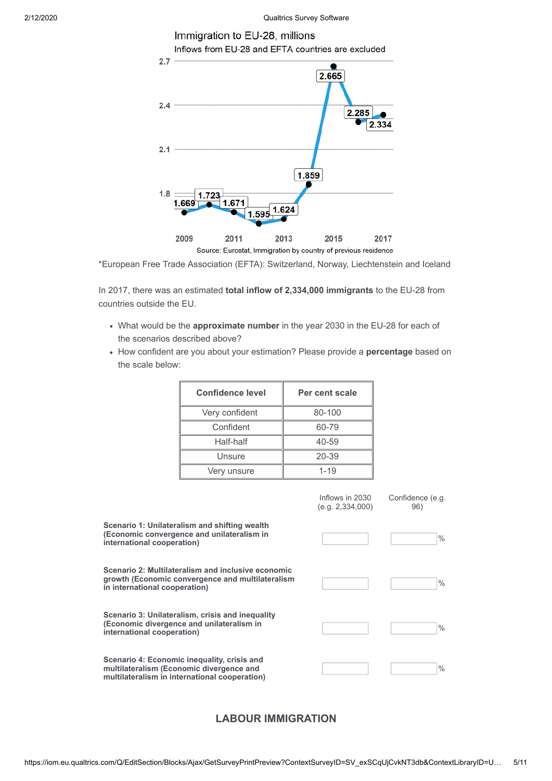

\*European Free Trade Association (EFTA): Switzerland, Norway, Liechtenstein and Iceland

2013

Source: Eurostat, Immigration by country of previous residence

2015

2017

2011

2009

In 2017, there was an estimated **total inflow of 2,334,000 immigrants** to the EU-28 from countries outside the EU.

- What would be the **approximate number** in the year 2030 in the EU-28 for each of the scenarios described above?
- How confident are you about your estimation? Please provide a **percentage** based on the scale below:

| <b>Confidence level</b> | Per cent scale |  |
|-------------------------|----------------|--|
| Very confident          | 80-100         |  |
| Confident               | 60-79          |  |
| Half-half               | 40-59          |  |
| Unsure                  | 20-39          |  |
| Very unsure             | $1 - 19$       |  |

|                                                                                                                                          | Inflows in 2030<br>(e.g. 2, 334, 000) | Confidence (e.g.<br>96) |
|------------------------------------------------------------------------------------------------------------------------------------------|---------------------------------------|-------------------------|
| Scenario 1: Unilateralism and shifting wealth<br>(Economic convergence and unilateralism in<br>international cooperation)                |                                       | $\frac{0}{0}$           |
| Scenario 2: Multilateralism and inclusive economic<br>growth (Economic convergence and multilateralism<br>in international cooperation)  |                                       | $\frac{0}{0}$           |
| Scenario 3: Unilateralism, crisis and inequality<br>(Economic divergence and unilateralism in<br>international cooperation)              |                                       | $\frac{0}{0}$           |
| Scenario 4: Economic inequality, crisis and<br>multilateralism (Economic divergence and<br>multilateralism in international cooperation) |                                       | $\frac{0}{0}$           |

## **LABOUR IMMIGRATION**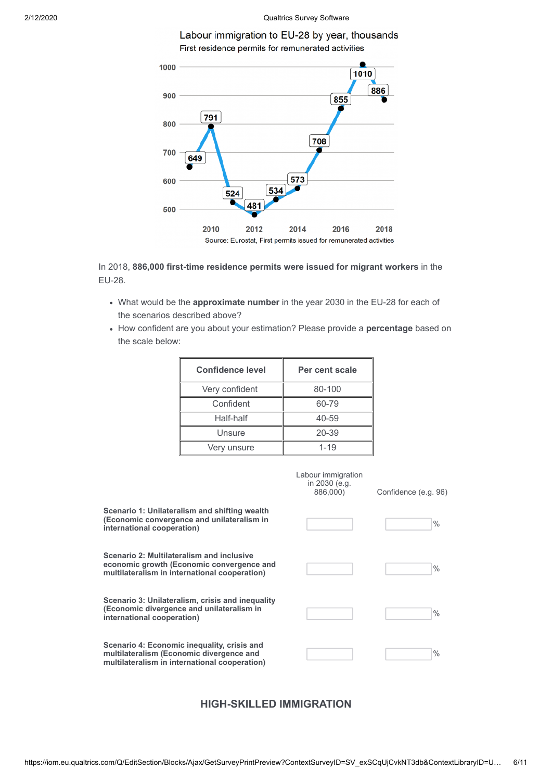



In 2018, **886,000 first-time residence permits were issued for migrant workers** in the EU-28.

- What would be the **approximate number** in the year 2030 in the EU-28 for each of the scenarios described above?
- How confident are you about your estimation? Please provide a **percentage** based on the scale below:

| <b>Confidence level</b> | Per cent scale |  |
|-------------------------|----------------|--|
| Very confident          | 80-100         |  |
| Confident               | 60-79          |  |
| Half-half               | 40-59          |  |
| Unsure                  | 20-39          |  |
| Very unsure             | $1 - 19$       |  |

|                                                                                                                                          | Labour immigration<br>in 2030 (e.g.<br>886,000) | Confidence (e.g. 96) |
|------------------------------------------------------------------------------------------------------------------------------------------|-------------------------------------------------|----------------------|
| Scenario 1: Unilateralism and shifting wealth<br>(Economic convergence and unilateralism in<br>international cooperation)                |                                                 | $\%$                 |
| Scenario 2: Multilateralism and inclusive<br>economic growth (Economic convergence and<br>multilateralism in international cooperation)  |                                                 | $\frac{0}{0}$        |
| Scenario 3: Unilateralism, crisis and inequality<br>(Economic divergence and unilateralism in<br>international cooperation)              |                                                 | $\frac{0}{0}$        |
| Scenario 4: Economic inequality, crisis and<br>multilateralism (Economic divergence and<br>multilateralism in international cooperation) |                                                 | $\%$                 |

## **HIGH-SKILLED IMMIGRATION**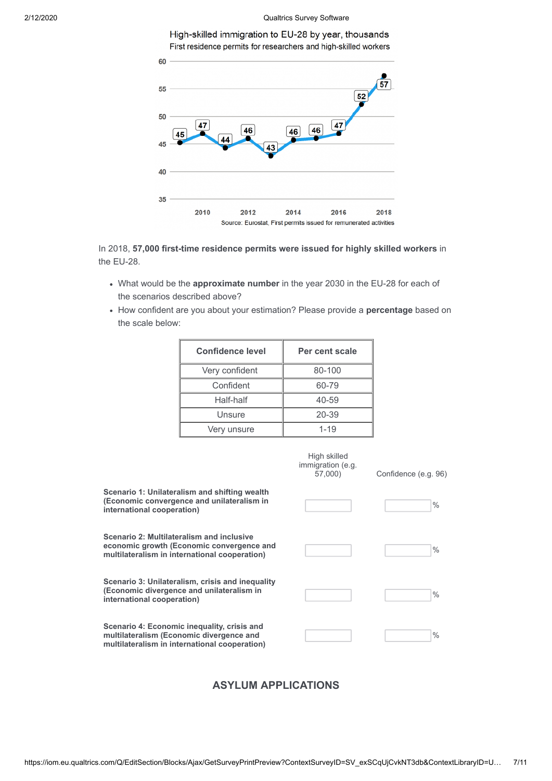High-skilled immigration to EU-28 by year, thousands First residence permits for researchers and high-skilled workers



In 2018, **57,000 first-time residence permits were issued for highly skilled workers** in the EU-28.

- What would be the **approximate number** in the year 2030 in the EU-28 for each of the scenarios described above?
- How confident are you about your estimation? Please provide a **percentage** based on the scale below:

| <b>Confidence level</b> | Per cent scale |
|-------------------------|----------------|
| Very confident          | 80-100         |
| Confident               | 60-79          |
| Half-half               | 40-59          |
| Unsure                  | 20-39          |
| Very unsure             | $1 - 19$       |

|                                                                                                                                          | High skilled<br>immigration (e.g.<br>57,000) | Confidence (e.g. 96) |
|------------------------------------------------------------------------------------------------------------------------------------------|----------------------------------------------|----------------------|
| Scenario 1: Unilateralism and shifting wealth<br>(Economic convergence and unilateralism in<br>international cooperation)                |                                              | $\%$                 |
| Scenario 2: Multilateralism and inclusive<br>economic growth (Economic convergence and<br>multilateralism in international cooperation)  |                                              | $\%$                 |
| Scenario 3: Unilateralism, crisis and inequality<br>(Economic divergence and unilateralism in<br>international cooperation)              |                                              | $\%$                 |
| Scenario 4: Economic inequality, crisis and<br>multilateralism (Economic divergence and<br>multilateralism in international cooperation) |                                              | $\%$                 |

## **ASYLUM APPLICATIONS**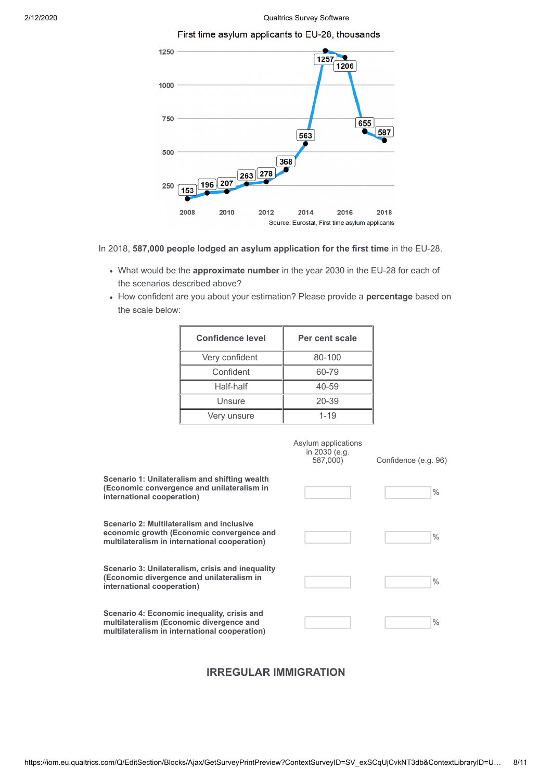



In 2018, **587,000 people lodged an asylum application for the first time** in the EU-28.

- What would be the **approximate number** in the year 2030 in the EU-28 for each of the scenarios described above?
- How confident are you about your estimation? Please provide a **percentage** based on the scale below:

| <b>Confidence level</b> | Per cent scale |
|-------------------------|----------------|
| Very confident          | 80-100         |
| Confident               | 60-79          |
| Half-half               | 40-59          |
| Unsure                  | 20-39          |
| Very unsure             | $1 - 19$       |

|                                                                                                                                          | Asylum applications<br>in 2030 (e.g.<br>587,000) | Confidence (e.g. 96) |
|------------------------------------------------------------------------------------------------------------------------------------------|--------------------------------------------------|----------------------|
| Scenario 1: Unilateralism and shifting wealth<br>(Economic convergence and unilateralism in<br>international cooperation)                |                                                  | $\%$                 |
| Scenario 2: Multilateralism and inclusive<br>economic growth (Economic convergence and<br>multilateralism in international cooperation)  |                                                  | $\%$                 |
| Scenario 3: Unilateralism, crisis and inequality<br>(Economic divergence and unilateralism in<br>international cooperation)              |                                                  | $\%$                 |
| Scenario 4: Economic inequality, crisis and<br>multilateralism (Economic divergence and<br>multilateralism in international cooperation) |                                                  | $\frac{0}{0}$        |

### **IRREGULAR IMMIGRATION**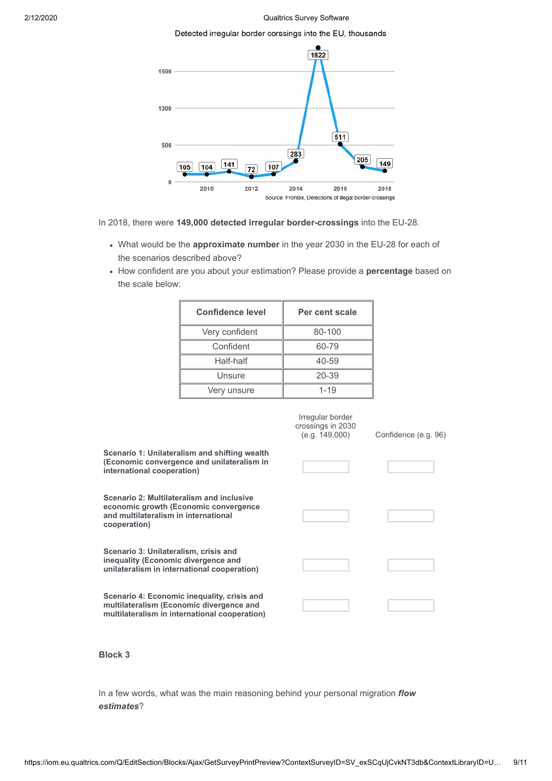#### Detected irregular border corssings into the EU, thousands



In 2018, there were **149,000 detected irregular border-crossings** into the EU-28.

- What would be the **approximate number** in the year 2030 in the EU-28 for each of the scenarios described above?
- How confident are you about your estimation? Please provide a **percentage** based on the scale below:

| <b>Confidence level</b> | Per cent scale |  |
|-------------------------|----------------|--|
| Very confident          | 80-100         |  |
| Confident               | 60-79          |  |
| Half-half               | 40-59          |  |
| Unsure                  | 20-39          |  |
| Very unsure             | $1 - 19$       |  |

|                                                                                                                                            | Irregular border<br>crossings in 2030<br>(e.q. 149,000) | Confidence (e.g. 96) |
|--------------------------------------------------------------------------------------------------------------------------------------------|---------------------------------------------------------|----------------------|
| Scenario 1: Unilateralism and shifting wealth<br>(Economic convergence and unilateralism in<br>international cooperation)                  |                                                         |                      |
| Scenario 2: Multilateralism and inclusive<br>economic growth (Economic convergence<br>and multilateralism in international<br>cooperation) |                                                         |                      |
| Scenario 3: Unilateralism, crisis and<br>inequality (Economic divergence and<br>unilateralism in international cooperation)                |                                                         |                      |
| Scenario 4: Economic inequality, crisis and<br>multilateralism (Economic divergence and<br>multilateralism in international cooperation)   |                                                         |                      |

**Block 3**

In a few words, what was the main reasoning behind your personal migration *flow estimates*?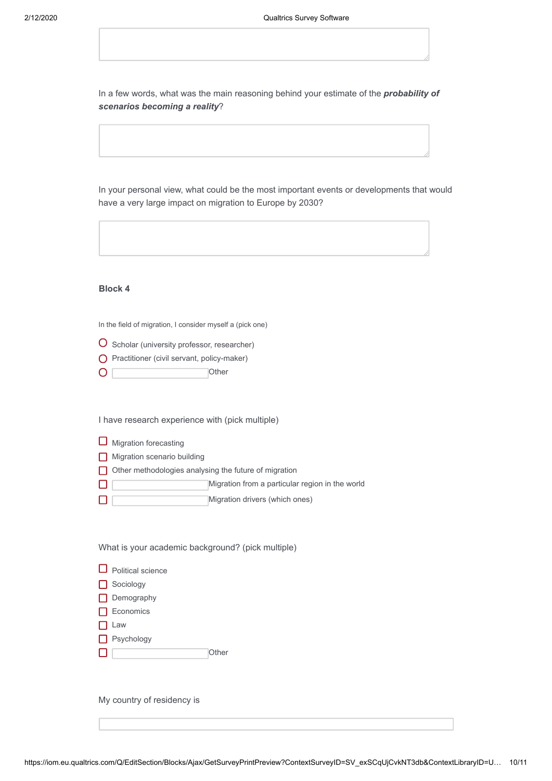In a few words, what was the main reasoning behind your estimate of the *probability of scenarios becoming a reality*?

In your personal view, what could be the most important events or developments that would have a very large impact on migration to Europe by 2030?

**Block 4**

In the field of migration, I consider myself a (pick one)

O Scholar (university professor, researcher)

**O** Practitioner (civil servant, policy-maker)

**Other**  $\overline{\mathsf{O} \square}$ 

I have research experience with (pick multiple)

| $\Box$ Migration forecasting |  |
|------------------------------|--|

**Migration scenario building** 

Other methodologies analysing the future of migration

- Migration from a particular region in the world  $\Box$   $\Box$
- Migration drivers (which ones)  $\Box$

What is your academic background? (pick multiple)

**Other** 

| $\Box$ Political science |
|--------------------------|
| $\Box$ Sociology         |
| Demography               |
| $\Box$ Economics         |
| $\Box$ Law               |
| $\Box$ Psychology        |
|                          |

My country of residency is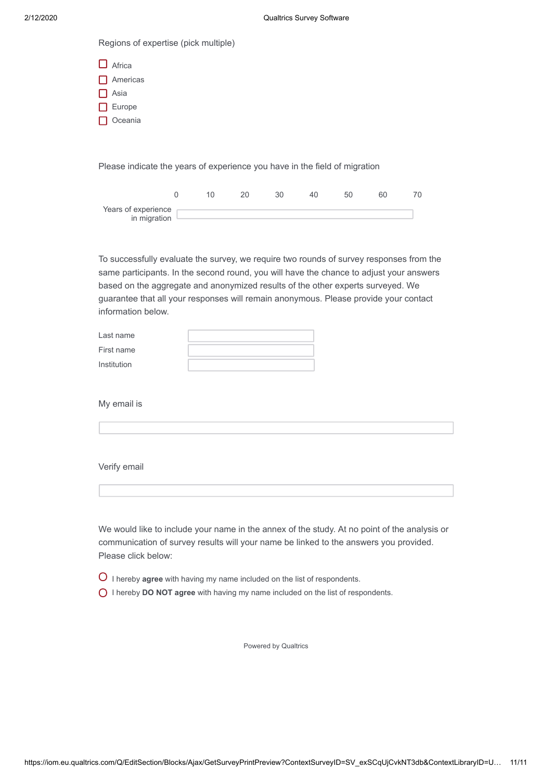Regions of expertise (pick multiple)

| $\Box$ Africa |
|---------------|
| Americas      |
| I I Asia      |
| Europe        |
| Oceania       |

Please indicate the years of experience you have in the field of migration

| Years of experience<br>in migration |  |  |  |  |
|-------------------------------------|--|--|--|--|

To successfully evaluate the survey, we require two rounds of survey responses from the same participants. In the second round, you will have the chance to adjust your answers based on the aggregate and anonymized results of the other experts surveyed. We guarantee that all your responses will remain anonymous. Please provide your contact information below.

| Last name   |  |
|-------------|--|
| First name  |  |
| Institution |  |

My email is

# Verify email

| We would like to include your name in the annex of the study. At no point of the analysis or |
|----------------------------------------------------------------------------------------------|
| communication of survey results will your name be linked to the answers you provided.        |
| Please click below:                                                                          |

- I hereby **agree** with having my name included on the list of respondents.
- I hereby **DO NOT agree** with having my name included on the list of respondents.

[Powered by Qualtrics](http://www.qualtrics.com/)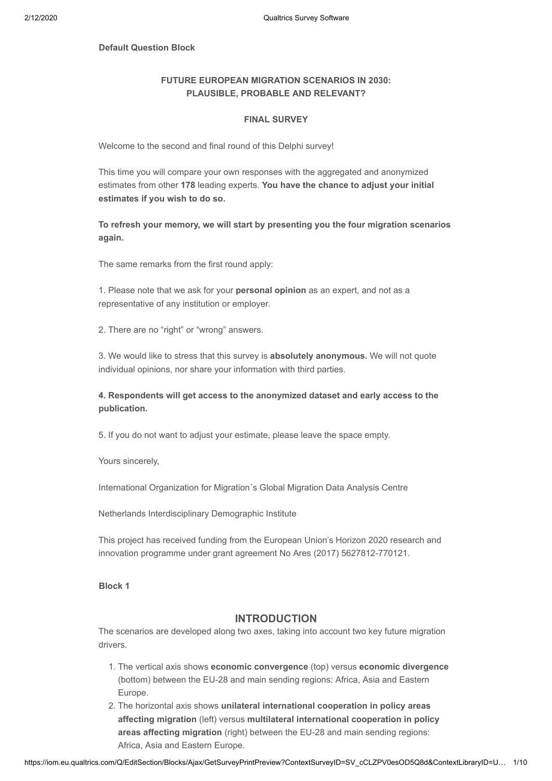### **Default Question Block**

### **FUTURE EUROPEAN MIGRATION SCENARIOS IN 2030: PLAUSIBLE, PROBABLE AND RELEVANT?**

### **FINAL SURVEY**

Welcome to the second and final round of this Delphi survey!

This time you will compare your own responses with the aggregated and anonymized estimates from other **178** leading experts. **You have the chance to adjust your initial estimates if you wish to do so.**

**To refresh your memory, we will start by presenting you the four migration scenarios again.** 

The same remarks from the first round apply:

1. Please note that we ask for your **personal opinion** as an expert, and not as a representative of any institution or employer.

2. There are no "right" or "wrong" answers.

3. We would like to stress that this survey is **absolutely anonymous.** We will not quote individual opinions, nor share your information with third parties.

### **4. Respondents will get access to the anonymized dataset and early access to the publication.**

5. If you do not want to adjust your estimate, please leave the space empty.

Yours sincerely,

International Organization for Migration´s Global Migration Data Analysis Centre

Netherlands Interdisciplinary Demographic Institute

This project has received funding from the European Union's Horizon 2020 research and innovation programme under grant agreement No Ares (2017) 5627812-770121.

**Block 1**

### **INTRODUCTION**

The scenarios are developed along two axes, taking into account two key future migration drivers.

- 1. The vertical axis shows **economic convergence** (top) versus **economic divergence** (bottom) between the EU-28 and main sending regions: Africa, Asia and Eastern Europe.
- 2. The horizontal axis shows **unilateral international cooperation in policy areas affecting migration** (left) versus **multilateral international cooperation in policy areas affecting migration** (right) between the EU-28 and main sending regions: Africa, Asia and Eastern Europe.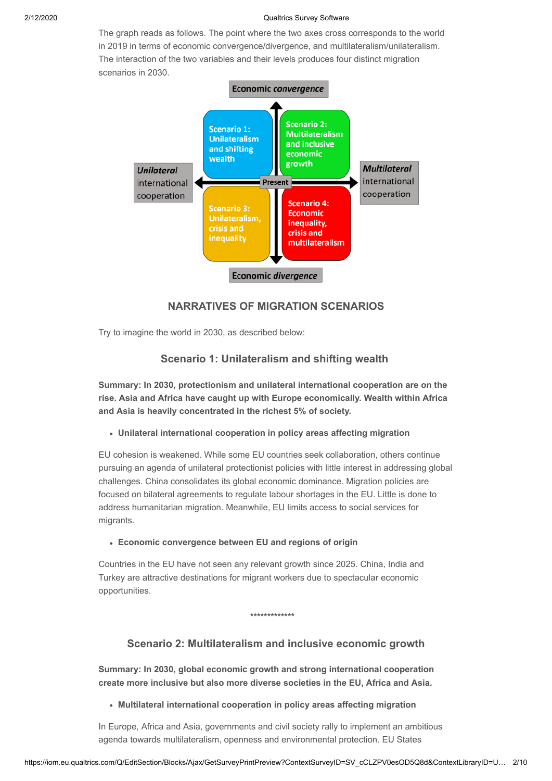The graph reads as follows. The point where the two axes cross corresponds to the world in 2019 in terms of economic convergence/divergence, and multilateralism/unilateralism. The interaction of the two variables and their levels produces four distinct migration scenarios in 2030.



## **NARRATIVES OF MIGRATION SCENARIOS**

Try to imagine the world in 2030, as described below:

### **Scenario 1: Unilateralism and shifting wealth**

**Summary: In 2030, protectionism and unilateral international cooperation are on the rise. Asia and Africa have caught up with Europe economically. Wealth within Africa and Asia is heavily concentrated in the richest 5% of society.**

### **Unilateral international cooperation in policy areas affecting migration**

EU cohesion is weakened. While some EU countries seek collaboration, others continue pursuing an agenda of unilateral protectionist policies with little interest in addressing global challenges. China consolidates its global economic dominance. Migration policies are focused on bilateral agreements to regulate labour shortages in the EU. Little is done to address humanitarian migration. Meanwhile, EU limits access to social services for migrants.

**Economic convergence between EU and regions of origin**

Countries in the EU have not seen any relevant growth since 2025. China, India and Turkey are attractive destinations for migrant workers due to spectacular economic opportunities.

#### **\*\*\*\*\*\*\*\*\*\*\*\*\***

### **Scenario 2: Multilateralism and inclusive economic growth**

**Summary: In 2030, global economic growth and strong international cooperation create more inclusive but also more diverse societies in the EU, Africa and Asia.**

**Multilateral international cooperation in policy areas affecting migration**

In Europe, Africa and Asia, governments and civil society rally to implement an ambitious agenda towards multilateralism, openness and environmental protection. EU States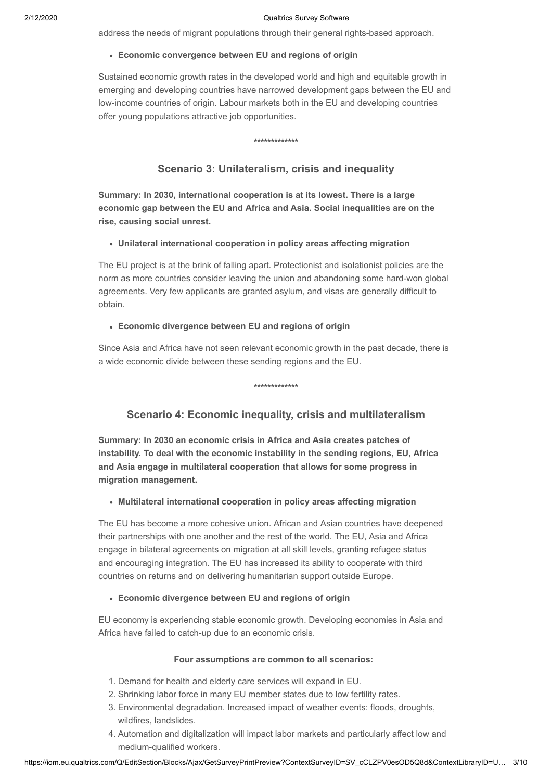address the needs of migrant populations through their general rights-based approach.

### **Economic convergence between EU and regions of origin**

Sustained economic growth rates in the developed world and high and equitable growth in emerging and developing countries have narrowed development gaps between the EU and low-income countries of origin. Labour markets both in the EU and developing countries offer young populations attractive job opportunities.

## **Scenario 3: Unilateralism, crisis and inequality**

**\*\*\*\*\*\*\*\*\*\*\*\*\***

**Summary: In 2030, international cooperation is at its lowest. There is a large economic gap between the EU and Africa and Asia. Social inequalities are on the rise, causing social unrest.** 

### **Unilateral international cooperation in policy areas affecting migration**

The EU project is at the brink of falling apart. Protectionist and isolationist policies are the norm as more countries consider leaving the union and abandoning some hard-won global agreements. Very few applicants are granted asylum, and visas are generally difficult to obtain.

### **Economic divergence between EU and regions of origin**

Since Asia and Africa have not seen relevant economic growth in the past decade, there is a wide economic divide between these sending regions and the EU.

**\*\*\*\*\*\*\*\*\*\*\*\*\***

## **Scenario 4: Economic inequality, crisis and multilateralism**

**Summary: In 2030 an economic crisis in Africa and Asia creates patches of instability. To deal with the economic instability in the sending regions, EU, Africa and Asia engage in multilateral cooperation that allows for some progress in migration management.**

#### **Multilateral international cooperation in policy areas affecting migration**

The EU has become a more cohesive union. African and Asian countries have deepened their partnerships with one another and the rest of the world. The EU, Asia and Africa engage in bilateral agreements on migration at all skill levels, granting refugee status and encouraging integration. The EU has increased its ability to cooperate with third countries on returns and on delivering humanitarian support outside Europe.

#### **Economic divergence between EU and regions of origin**

EU economy is experiencing stable economic growth. Developing economies in Asia and Africa have failed to catch-up due to an economic crisis.

#### **Four assumptions are common to all scenarios:**

- 1. Demand for health and elderly care services will expand in EU.
- 2. Shrinking labor force in many EU member states due to low fertility rates.
- 3. Environmental degradation. Increased impact of weather events: floods, droughts, wildfires, landslides.
- 4. Automation and digitalization will impact labor markets and particularly affect low and medium-qualified workers.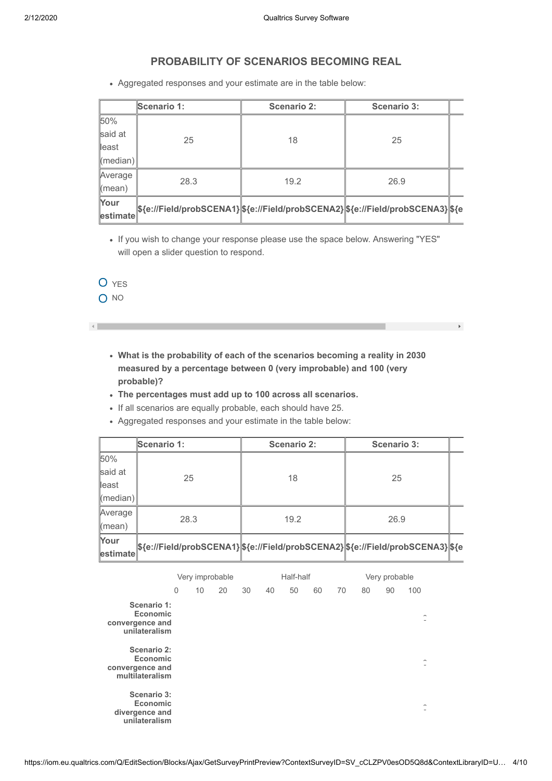## **PROBABILITY OF SCENARIOS BECOMING REAL**

Aggregated responses and your estimate are in the table below:

|                    | Scenario 1: | <b>Scenario 2:</b> | <b>Scenario 3:</b>                                                              |  |  |
|--------------------|-------------|--------------------|---------------------------------------------------------------------------------|--|--|
| 50%                |             |                    |                                                                                 |  |  |
| said at            | 25          | 18                 | 25                                                                              |  |  |
| ∥east              |             |                    |                                                                                 |  |  |
| $\ $ (median) $\ $ |             |                    |                                                                                 |  |  |
| Average            | 28.3        | 19.2               | 26.9                                                                            |  |  |
| $\parallel$ (mean) |             |                    |                                                                                 |  |  |
| Your               |             |                    | \${e://Field/probSCENA1} \${e://Field/probSCENA2} \${e://Field/probSCENA3} \${e |  |  |
| estimate           |             |                    |                                                                                 |  |  |

If you wish to change your response please use the space below. Answering "YES" will open a slider question to respond.

O YES

O NO

 $\left\Vert \cdot\right\Vert$ 

**What is the probability of each of the scenarios becoming a reality in 2030 measured by a percentage between 0 (very improbable) and 100 (very probable)?**

 $\mathcal{L} \subset \mathcal{L}$  .

- **The percentages must add up to 100 across all scenarios.**
- If all scenarios are equally probable, each should have 25.
- Aggregated responses and your estimate in the table below:

|                            | Scenario 1: | Scenario 2: | <b>Scenario 3:</b>                                                              |  |  |
|----------------------------|-------------|-------------|---------------------------------------------------------------------------------|--|--|
| 50%                        |             |             |                                                                                 |  |  |
| said at                    | 25          | 18          | 25                                                                              |  |  |
| $\parallel$ east           |             |             |                                                                                 |  |  |
| $\langle$ median $\rangle$ |             |             |                                                                                 |  |  |
| Average                    | 28.3        | 19.2        | 26.9                                                                            |  |  |
| $\mathsf{Imean}$           |             |             |                                                                                 |  |  |
| Your<br>estimate           |             |             | \${e://Field/probSCENA1} \${e://Field/probSCENA2} \${e://Field/probSCENA3} \${e |  |  |

|                                                               | Very improbable |    |    |    | Half-half |    |    | Very probable |    |    |                                          |
|---------------------------------------------------------------|-----------------|----|----|----|-----------|----|----|---------------|----|----|------------------------------------------|
|                                                               | 0               | 10 | 20 | 30 | 40        | 50 | 60 | 70            | 80 | 90 | 100                                      |
| Scenario 1:<br>Economic<br>convergence and<br>unilateralism   |                 |    |    |    |           |    |    |               |    |    | $\checkmark$                             |
| Scenario 2:<br>Economic<br>convergence and<br>multilateralism |                 |    |    |    |           |    |    |               |    |    | $\overline{\phantom{0}}$<br>$\checkmark$ |
| Scenario 3:<br>Economic<br>divergence and<br>unilateralism    |                 |    |    |    |           |    |    |               |    |    | $\overline{\phantom{0}}$<br>$\checkmark$ |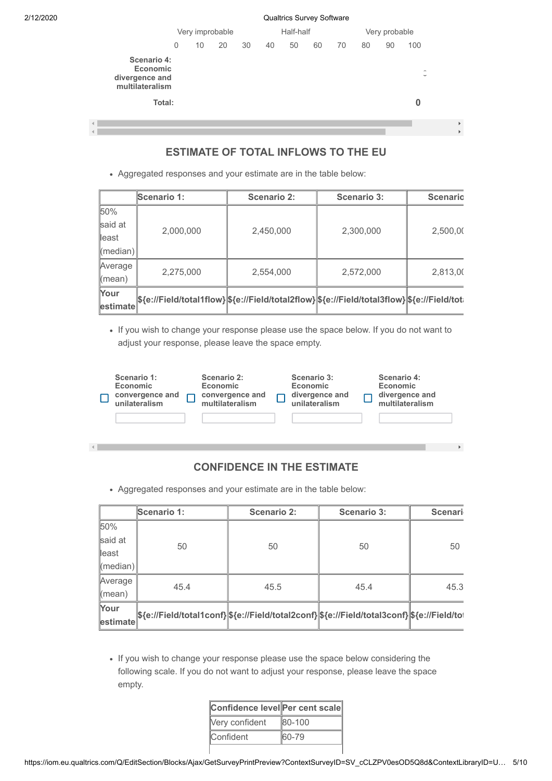$\overline{4}$ 

|                                                              |   | Very improbable |    |    | Half-half |    |    | Very probable |    |    |                                         |  |
|--------------------------------------------------------------|---|-----------------|----|----|-----------|----|----|---------------|----|----|-----------------------------------------|--|
|                                                              | 0 | 10              | 20 | 30 | 40        | 50 | 60 | 70            | 80 | 90 | 100                                     |  |
| Scenario 4:<br>Economic<br>divergence and<br>multilateralism |   |                 |    |    |           |    |    |               |    |    | $\overline{\phantom{a}}$<br>$\check{ }$ |  |
| Total:                                                       |   |                 |    |    |           |    |    |               |    |    | 0                                       |  |
| $\blacktriangleleft$                                         |   |                 |    |    |           |    |    |               |    |    |                                         |  |

## **ESTIMATE OF TOTAL INFLOWS TO THE EU**

 $\rightarrow$ 

Aggregated responses and your estimate are in the table below:

|                    | <b>Scenario 1:</b>                                                                            | Scenario 2: | Scenario 3: | <b>Scenario</b> |  |
|--------------------|-----------------------------------------------------------------------------------------------|-------------|-------------|-----------------|--|
| 50%                |                                                                                               |             |             |                 |  |
| said at            | 2,000,000                                                                                     | 2,450,000   | 2,300,000   | 2,500,00        |  |
| ∥east              |                                                                                               |             |             |                 |  |
| $\ $ (median) $\ $ |                                                                                               |             |             |                 |  |
| Average            |                                                                                               |             |             |                 |  |
| Kmean)             | 2,275,000                                                                                     | 2,554,000   | 2,572,000   | 2,813,00        |  |
| Your               | \${e://Field/total1flow} \${e://Field/total2flow} \${e://Field/total3flow} \${e://Field/total |             |             |                 |  |
| estimate           |                                                                                               |             |             |                 |  |

If you wish to change your response please use the space below. If you do not want to adjust your response, please leave the space empty.

| Scenario 1:<br>Economic<br>convergence and<br>unilateralism | Scenario 2:<br>Economic<br>convergence and<br>multilateralism | Scenario 3:<br>Economic<br>divergence and<br>unilateralism | Scenario 4:<br>Economic<br>divergence and<br>multilateralism |  |
|-------------------------------------------------------------|---------------------------------------------------------------|------------------------------------------------------------|--------------------------------------------------------------|--|
|                                                             |                                                               |                                                            |                                                              |  |

## **CONFIDENCE IN THE ESTIMATE**

Aggregated responses and your estimate are in the table below:

|                            | Scenario 1:                                                                              | <b>Scenario 2:</b> | <b>Scenario 3:</b> | <b>Scenari</b> |
|----------------------------|------------------------------------------------------------------------------------------|--------------------|--------------------|----------------|
| 50%                        |                                                                                          |                    |                    |                |
| said at                    | 50                                                                                       | 50                 | 50                 | 50             |
| $\parallel$ east           |                                                                                          |                    |                    |                |
| $\langle$ median $\rangle$ |                                                                                          |                    |                    |                |
| Average                    | 45.4                                                                                     | 45.5               | 45.4               | 45.3           |
| $\parallel$ (mean)         |                                                                                          |                    |                    |                |
| Your                       | \${e://Field/total1conf}\${e://Field/total2conf}\${e://Field/total3conf}\${e://Field/tot |                    |                    |                |
| estimate                   |                                                                                          |                    |                    |                |

• If you wish to change your response please use the space below considering the following scale. If you do not want to adjust your response, please leave the space empty.

| Confidence level Per cent scale |        |  |  |  |
|---------------------------------|--------|--|--|--|
| Very confident                  | 80-100 |  |  |  |
| <b>Confident</b>                | 60-79  |  |  |  |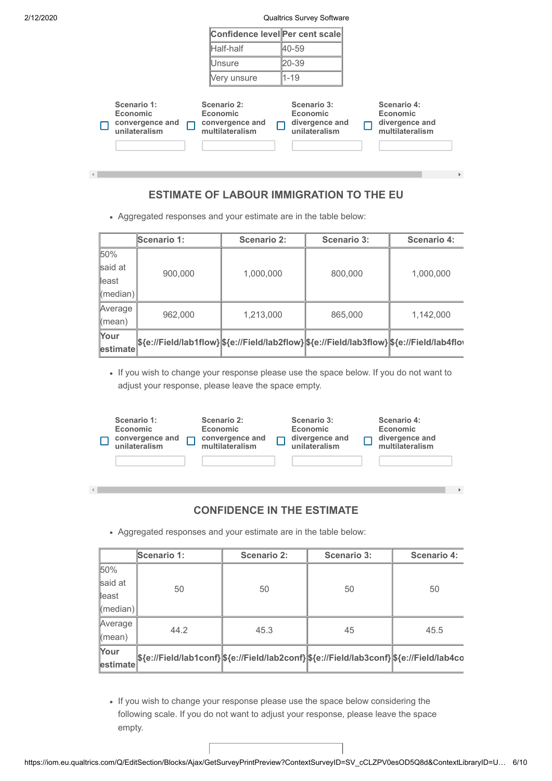$\left| \cdot \right|$ 

2/12/2020 Qualtrics Survey Software

|                                                                    | Confidence level Per cent scale                               |                                                            |                                                              |
|--------------------------------------------------------------------|---------------------------------------------------------------|------------------------------------------------------------|--------------------------------------------------------------|
|                                                                    | Half-half                                                     | 40-59                                                      |                                                              |
|                                                                    | lUnsure                                                       | 20-39                                                      |                                                              |
|                                                                    | Very unsure                                                   | $1 - 19$                                                   |                                                              |
| Scenario 1:<br><b>Economic</b><br>convergence and<br>unilateralism | Scenario 2:<br>Economic<br>convergence and<br>multilateralism | Scenario 3:<br>Economic<br>divergence and<br>unilateralism | Scenario 4:<br>Economic<br>divergence and<br>multilateralism |

## **ESTIMATE OF LABOUR IMMIGRATION TO THE EU**

Aggregated responses and your estimate are in the table below:

|                    | <b>Scenario 1:</b>                                                                         | <b>Scenario 2:</b> | <b>Scenario 3:</b> | <b>Scenario 4:</b> |  |
|--------------------|--------------------------------------------------------------------------------------------|--------------------|--------------------|--------------------|--|
| 50%                |                                                                                            |                    |                    |                    |  |
| said at            | 900,000                                                                                    | 1,000,000          | 800,000            | 1,000,000          |  |
| ∥east              |                                                                                            |                    |                    |                    |  |
| $\ $ (median) $\ $ |                                                                                            |                    |                    |                    |  |
| Average            | 962,000                                                                                    | 1,213,000          | 865,000            | 1,142,000          |  |
| $\mathsf{Imean}$   |                                                                                            |                    |                    |                    |  |
| Your               | \${e://Field/lab1flow}\\${e://Field/lab2flow}\\${e://Field/lab3flow}\\${e://Field/lab4flov |                    |                    |                    |  |
| estimate           |                                                                                            |                    |                    |                    |  |

If you wish to change your response please use the space below. If you do not want to adjust your response, please leave the space empty.

| Scenario 1:<br><b>Economic</b><br>convergence and<br>unilateralism | Scenario 2:<br>Economic<br>convergence and<br>multilateralism | Scenario 3:<br>Economic<br>divergence and<br>unilateralism | Scenario 4:<br>Economic<br>divergence and<br>multilateralism |
|--------------------------------------------------------------------|---------------------------------------------------------------|------------------------------------------------------------|--------------------------------------------------------------|
|                                                                    |                                                               |                                                            |                                                              |

## **CONFIDENCE IN THE ESTIMATE**

 $\bar{\mathbf{p}}$ 

Aggregated responses and your estimate are in the table below:

|                            | Scenario 1:                                                                           | Scenario 2: | <b>Scenario 3:</b> | <b>Scenario 4:</b> |  |
|----------------------------|---------------------------------------------------------------------------------------|-------------|--------------------|--------------------|--|
| 50%                        |                                                                                       |             |                    |                    |  |
| said at                    | 50                                                                                    | 50          | 50                 | 50                 |  |
| ∥east                      |                                                                                       |             |                    |                    |  |
| $\langle$ median $\rangle$ |                                                                                       |             |                    |                    |  |
| Average                    | 44.2                                                                                  | 45.3        | 45                 |                    |  |
| $\langle$ mean $\rangle$   |                                                                                       |             |                    | 45.5               |  |
| Your                       | \${e://Field/lab1conf}\${e://Field/lab2conf}\${e://Field/lab3conf}\${e://Field/lab4co |             |                    |                    |  |
| estimate                   |                                                                                       |             |                    |                    |  |

If you wish to change your response please use the space below considering the following scale. If you do not want to adjust your response, please leave the space empty.

https://iom.eu.qualtrics.com/Q/EditSection/Blocks/Ajax/GetSurveyPrintPreview?ContextSurveyID=SV\_cCLZPV0esOD5Q8d&ContextLibraryID=U… 6/10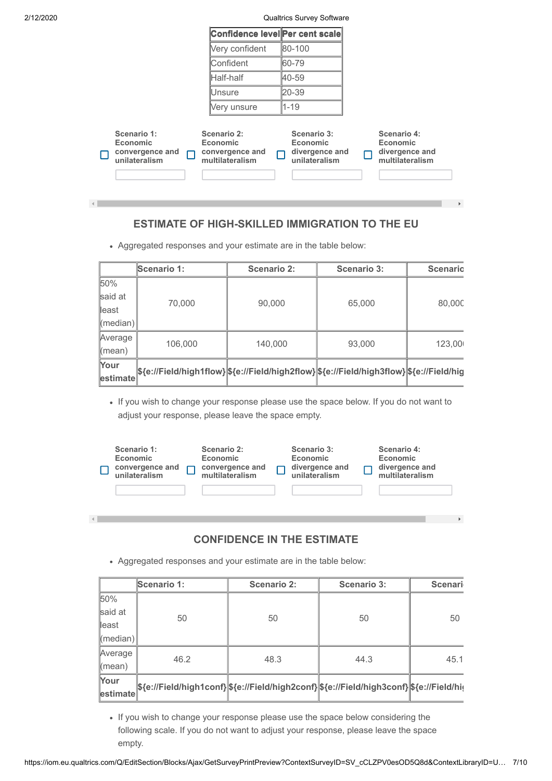| Very confident<br>80-100<br><b>Confident</b><br>60-79<br>Half-half<br>40-59<br>20-39<br><b>Unsure</b><br>$1 - 19$<br>Very unsure                                                                                                                                         | Confidence level Per cent scale |  |              |
|--------------------------------------------------------------------------------------------------------------------------------------------------------------------------------------------------------------------------------------------------------------------------|---------------------------------|--|--------------|
|                                                                                                                                                                                                                                                                          |                                 |  |              |
|                                                                                                                                                                                                                                                                          |                                 |  |              |
|                                                                                                                                                                                                                                                                          |                                 |  |              |
|                                                                                                                                                                                                                                                                          |                                 |  |              |
|                                                                                                                                                                                                                                                                          |                                 |  |              |
| Scenario 1:<br>Scenario 2:<br>Scenario 3:<br>Scenario 4:<br>Economic<br><b>Economic</b><br>Economic<br><b>Economic</b><br>divergence and<br>divergence and<br>convergence and<br>convergence and<br>unilateralism<br>multilateralism<br>unilateralism<br>multilateralism |                                 |  | $\mathbf{F}$ |

## **ESTIMATE OF HIGH-SKILLED IMMIGRATION TO THE EU**

Aggregated responses and your estimate are in the table below:

|                          | <b>Scenario 1:</b> | Scenario 2: | <b>Scenario 3:</b>                                                                       | <b>Scenario</b> |  |
|--------------------------|--------------------|-------------|------------------------------------------------------------------------------------------|-----------------|--|
| 50%                      |                    |             |                                                                                          |                 |  |
| said at                  | 70,000             | 90,000      | 65,000                                                                                   | 80,000          |  |
| ∥east                    |                    |             |                                                                                          |                 |  |
| $\ $ (median) $\ $       |                    |             |                                                                                          |                 |  |
| Average                  | 106,000            | 140,000     | 93,000                                                                                   | 123,000         |  |
| $\langle$ mean $\rangle$ |                    |             |                                                                                          |                 |  |
| Your                     |                    |             | \${e://Field/high1flow} \${e://Field/high2flow} \${e://Field/high3flow} \${e://Field/hig |                 |  |
| estimate                 |                    |             |                                                                                          |                 |  |

If you wish to change your response please use the space below. If you do not want to adjust your response, please leave the space empty.

| Scenario 1:<br><b>Economic</b><br>convergence and<br>unilateralism | Scenario 2:<br>Economic<br>convergence and<br>multilateralism | Scenario 3:<br>Economic<br>divergence and<br>unilateralism | Scenario 4:<br>Economic<br>divergence and<br>multilateralism |
|--------------------------------------------------------------------|---------------------------------------------------------------|------------------------------------------------------------|--------------------------------------------------------------|
|                                                                    |                                                               |                                                            |                                                              |

## **CONFIDENCE IN THE ESTIMATE**

 $\bar{\mathbf{F}}$ 

Aggregated responses and your estimate are in the table below:

 $\left\Vert \cdot\right\Vert$ 

|                    | Scenario 1:                                                                              | <b>Scenario 2:</b> | <b>Scenario 3:</b> | Scenari |  |
|--------------------|------------------------------------------------------------------------------------------|--------------------|--------------------|---------|--|
| 50%                |                                                                                          |                    |                    |         |  |
| said at            | 50                                                                                       | 50                 | 50                 | 50      |  |
| ∥east              |                                                                                          |                    |                    |         |  |
| $\ $ (median) $\ $ |                                                                                          |                    |                    |         |  |
| Average            | 46.2                                                                                     | 48.3               | 44.3               | 45.1    |  |
| $\mathsf{Imean}$   |                                                                                          |                    |                    |         |  |
| Your               | \${e://Field/high1conf} \${e://Field/high2conf} \${e://Field/high3conf} \${e://Field/hig |                    |                    |         |  |
| $\ $ estimate $\ $ |                                                                                          |                    |                    |         |  |

If you wish to change your response please use the space below considering the following scale. If you do not want to adjust your response, please leave the space empty.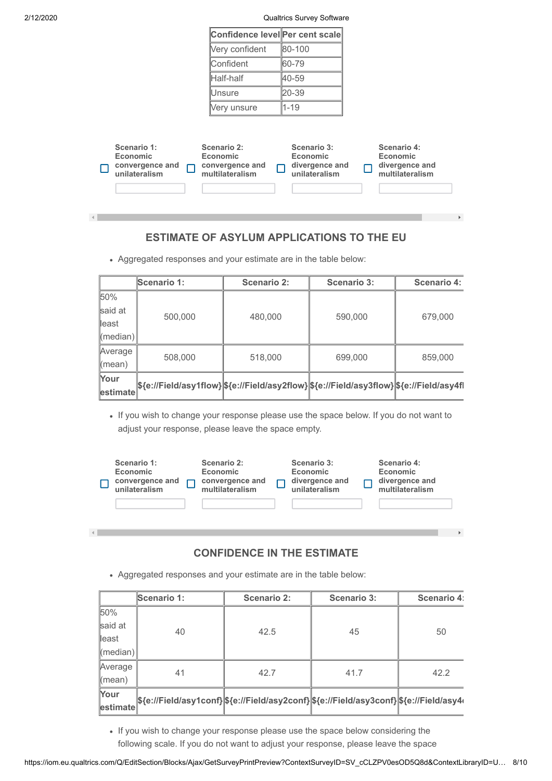$\left| \cdot \right|$ 

 $\left\langle \cdot \right\rangle$ 

2/12/2020 Qualtrics Survey Software

| Confidence level Per cent scale |          |
|---------------------------------|----------|
| Very confident                  | 80-100   |
| Confident                       | 60-79    |
| Half-half                       | 40-59    |
| Unsure                          | 20-39    |
| Very unsure                     | $1 - 19$ |

| Scenario 1:<br><b>Economic</b><br>convergence and<br>unilateralism | Scenario 2:<br>Economic<br>convergence and<br>multilateralism | Scenario 3:<br>Economic<br>divergence and<br>unilateralism | Scenario 4:<br>Economic<br>divergence and<br>multilateralism |
|--------------------------------------------------------------------|---------------------------------------------------------------|------------------------------------------------------------|--------------------------------------------------------------|
|                                                                    |                                                               |                                                            |                                                              |

## **ESTIMATE OF ASYLUM APPLICATIONS TO THE EU**

Aggregated responses and your estimate are in the table below:

|               | <b>Scenario 1:</b>                                                                       | <b>Scenario 2:</b> | <b>Scenario 3:</b> | <b>Scenario 4:</b> |
|---------------|------------------------------------------------------------------------------------------|--------------------|--------------------|--------------------|
| 50%           |                                                                                          |                    |                    |                    |
| said at       | 500,000                                                                                  | 480,000            | 590,000            | 679,000            |
| ∥east         |                                                                                          |                    |                    |                    |
| ∥(median)∥    |                                                                                          |                    |                    |                    |
| Average       | 508,000                                                                                  | 518,000            | 699,000            | 859,000            |
| l(mean)       |                                                                                          |                    |                    |                    |
| Your          | \${e://Field/asy1flow} \${e://Field/asy2flow} \${e://Field/asy3flow} \${e://Field/asy4fl |                    |                    |                    |
| $\ $ estimate |                                                                                          |                    |                    |                    |

If you wish to change your response please use the space below. If you do not want to adjust your response, please leave the space empty.

| Scenario 1:<br><b>Economic</b><br>convergence and<br>unilateralism | Scenario 2:<br>Economic<br>convergence and<br>multilateralism | Scenario 3:<br>Economic<br>divergence and<br>unilateralism | Scenario 4:<br>Economic<br>divergence and<br>multilateralism |
|--------------------------------------------------------------------|---------------------------------------------------------------|------------------------------------------------------------|--------------------------------------------------------------|
|                                                                    |                                                               |                                                            |                                                              |

## **CONFIDENCE IN THE ESTIMATE**

 $\bar{\nu}$ 

Aggregated responses and your estimate are in the table below:

|           | Scenario 1:                                                                            | Scenario 2: | <b>Scenario 3:</b> | Scenario 4: |  |
|-----------|----------------------------------------------------------------------------------------|-------------|--------------------|-------------|--|
| 50%       |                                                                                        |             |                    |             |  |
| said at   | 40                                                                                     | 42.5        | 45                 | 50          |  |
| ∥east     |                                                                                        |             |                    |             |  |
| ∥(median) |                                                                                        |             |                    |             |  |
| Average   | 41                                                                                     | 42.7        | 41.7               | 42.2        |  |
| ∥(mean)   |                                                                                        |             |                    |             |  |
| Your      | \${e://Field/asy1conf} \${e://Field/asy2conf} \${e://Field/asy3conf} \${e://Field/asy4 |             |                    |             |  |
| estimate  |                                                                                        |             |                    |             |  |

If you wish to change your response please use the space below considering the following scale. If you do not want to adjust your response, please leave the space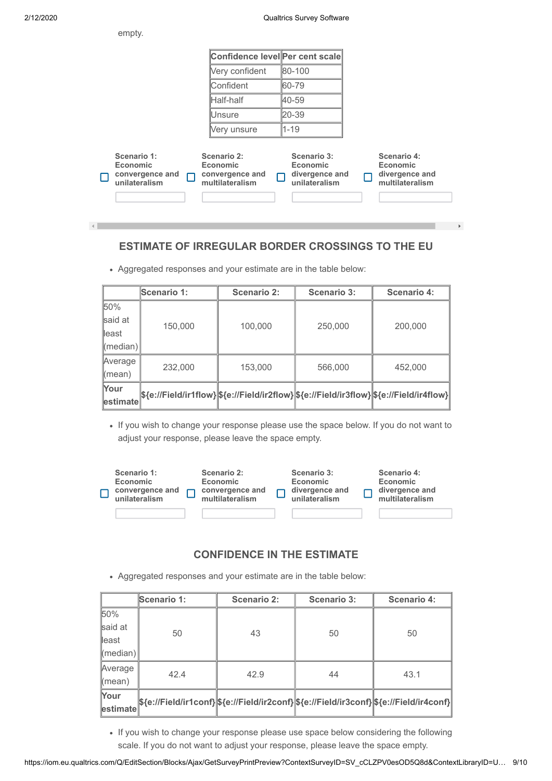empty.

**estimate**

|                                                                    | Confidence level Per cent scale                               |                                                                   |                                                              |
|--------------------------------------------------------------------|---------------------------------------------------------------|-------------------------------------------------------------------|--------------------------------------------------------------|
|                                                                    | Very confident                                                | 80-100                                                            |                                                              |
|                                                                    | Confident                                                     | 60-79                                                             |                                                              |
|                                                                    | Half-half                                                     | 40-59                                                             |                                                              |
|                                                                    | lUnsure                                                       | 20-39                                                             |                                                              |
|                                                                    | Very unsure                                                   | $1 - 19$                                                          |                                                              |
| Scenario 1:<br><b>Economic</b><br>convergence and<br>unilateralism | Scenario 2:<br>Economic<br>convergence and<br>multilateralism | Scenario 3:<br><b>Economic</b><br>divergence and<br>unilateralism | Scenario 4:<br>Economic<br>divergence and<br>multilateralism |

## **ESTIMATE OF IRREGULAR BORDER CROSSINGS TO THE EU**

- **Scenario 1: Scenario 2: Scenario 3: Scenario 4:** 50% said at least (median) 150,000 100,000 250,000 200,000 Average (mean) 232,000 153,000 566,000 452,000 **Your**
- Aggregated responses and your estimate are in the table below:

• If you wish to change your response please use the space below. If you do not want to adjust your response, please leave the space empty.

**\${e://Field/ir1flow} \${e://Field/ir2flow} \${e://Field/ir3flow} \${e://Field/ir4flow}**

| Scenario 1:<br>Economic<br>convergence and<br>unilateralism | Scenario 2:<br>Economic<br>convergence and<br>multilateralism | Scenario 3:<br>Economic<br>divergence and<br>unilateralism | Scenario 4:<br>Economic<br>divergence and<br>multilateralism |
|-------------------------------------------------------------|---------------------------------------------------------------|------------------------------------------------------------|--------------------------------------------------------------|
|                                                             |                                                               |                                                            |                                                              |

## **CONFIDENCE IN THE ESTIMATE**

Aggregated responses and your estimate are in the table below:

|                               | Scenario 1: | Scenario 2: | <b>Scenario 3:</b> | Scenario 4:                                                                             |  |
|-------------------------------|-------------|-------------|--------------------|-----------------------------------------------------------------------------------------|--|
| 50%                           |             |             |                    |                                                                                         |  |
| said at                       | 50          | 43          | 50                 | 50                                                                                      |  |
| lleast                        |             |             |                    |                                                                                         |  |
| (median)                      |             |             |                    |                                                                                         |  |
| Average                       | 42.4        | 42.9        | 44                 | 43.1                                                                                    |  |
| (mean)                        |             |             |                    |                                                                                         |  |
| Your<br>$ \textsf{estimate} $ |             |             |                    | \${e://Field/ir1conf} \${e://Field/ir2conf} \${e://Field/ir3conf} \${e://Field/ir4conf} |  |

• If you wish to change your response please use space below considering the following scale. If you do not want to adjust your response, please leave the space empty.